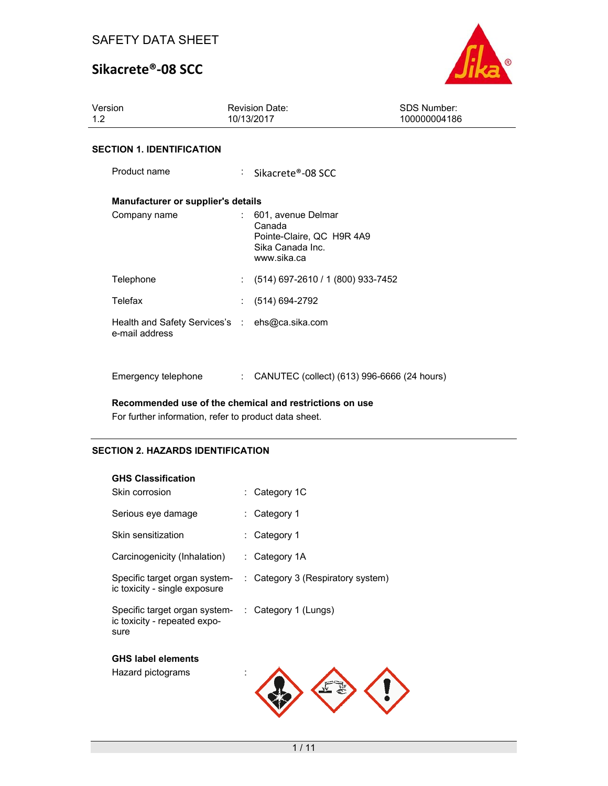# **Sikacrete®‐08 SCC**



| Version<br>1.2                                                   |    | Revision Date:<br>10/13/2017                                                                 | SDS Number:<br>100000004186 |  |  |
|------------------------------------------------------------------|----|----------------------------------------------------------------------------------------------|-----------------------------|--|--|
| <b>SECTION 1. IDENTIFICATION</b>                                 |    |                                                                                              |                             |  |  |
| Product name                                                     |    | : Sikacrete®-08 SCC                                                                          |                             |  |  |
| Manufacturer or supplier's details                               |    |                                                                                              |                             |  |  |
| Company name                                                     |    | 601, avenue Delmar<br>Canada<br>Pointe-Claire, QC H9R 4A9<br>Sika Canada Inc.<br>www.sika.ca |                             |  |  |
| Telephone                                                        |    | $(514)$ 697-2610 / 1 (800) 933-7452                                                          |                             |  |  |
| Telefax                                                          |    | $(514) 694-2792$                                                                             |                             |  |  |
| Health and Safety Services's : ehs@ca.sika.com<br>e-mail address |    |                                                                                              |                             |  |  |
| Emergency telephone                                              | ÷. | CANUTEC (collect) (613) 996-6666 (24 hours)                                                  |                             |  |  |

**Recommended use of the chemical and restrictions on use** 

For further information, refer to product data sheet.

### **SECTION 2. HAZARDS IDENTIFICATION**

| <b>GHS Classification</b><br>Skin corrosion                           | : Category 1C                     |
|-----------------------------------------------------------------------|-----------------------------------|
| Serious eye damage                                                    | Category 1                        |
| Skin sensitization                                                    | Category 1                        |
| Carcinogenicity (Inhalation)                                          | : Category 1A                     |
| Specific target organ system-<br>ic toxicity - single exposure        | : Category 3 (Respiratory system) |
| Specific target organ system-<br>ic toxicity - repeated expo-<br>sure | : Category 1 (Lungs)              |
| <b>GHS label elements</b><br>Hazard pictograms                        |                                   |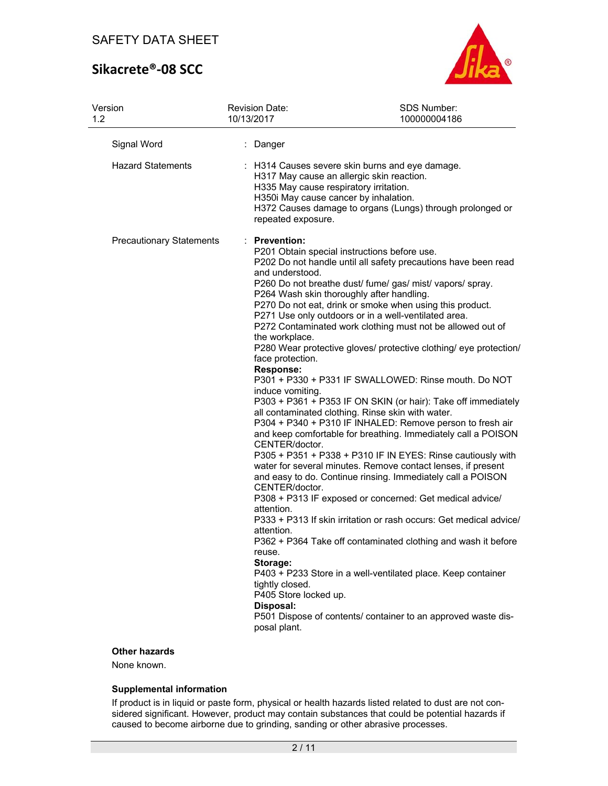# **Sikacrete®‐08 SCC**



| Version<br>1.2                  | Revision Date:<br>10/13/2017                                                                                                                                                                                                                                                  | SDS Number:<br>100000004186                                                                                                                                                                                                                                                                                                                                                                                                                                                                                                                                                                                                                                                                                                                                                                                                                                                                                                                                                                                                                                                                                                                                                                                                                                                                                                   |
|---------------------------------|-------------------------------------------------------------------------------------------------------------------------------------------------------------------------------------------------------------------------------------------------------------------------------|-------------------------------------------------------------------------------------------------------------------------------------------------------------------------------------------------------------------------------------------------------------------------------------------------------------------------------------------------------------------------------------------------------------------------------------------------------------------------------------------------------------------------------------------------------------------------------------------------------------------------------------------------------------------------------------------------------------------------------------------------------------------------------------------------------------------------------------------------------------------------------------------------------------------------------------------------------------------------------------------------------------------------------------------------------------------------------------------------------------------------------------------------------------------------------------------------------------------------------------------------------------------------------------------------------------------------------|
| Signal Word                     | : Danger                                                                                                                                                                                                                                                                      |                                                                                                                                                                                                                                                                                                                                                                                                                                                                                                                                                                                                                                                                                                                                                                                                                                                                                                                                                                                                                                                                                                                                                                                                                                                                                                                               |
| <b>Hazard Statements</b>        | H335 May cause respiratory irritation.<br>H350i May cause cancer by inhalation.<br>repeated exposure.                                                                                                                                                                         | : H314 Causes severe skin burns and eye damage.<br>H317 May cause an allergic skin reaction.<br>H372 Causes damage to organs (Lungs) through prolonged or                                                                                                                                                                                                                                                                                                                                                                                                                                                                                                                                                                                                                                                                                                                                                                                                                                                                                                                                                                                                                                                                                                                                                                     |
| <b>Precautionary Statements</b> | : Prevention:<br>and understood.<br>the workplace.<br>face protection.<br><b>Response:</b><br>induce vomiting.<br>CENTER/doctor.<br>CENTER/doctor.<br>attention.<br>attention.<br>reuse.<br>Storage:<br>tightly closed.<br>P405 Store locked up.<br>Disposal:<br>posal plant. | P201 Obtain special instructions before use.<br>P202 Do not handle until all safety precautions have been read<br>P260 Do not breathe dust/ fume/ gas/ mist/ vapors/ spray.<br>P264 Wash skin thoroughly after handling.<br>P270 Do not eat, drink or smoke when using this product.<br>P271 Use only outdoors or in a well-ventilated area.<br>P272 Contaminated work clothing must not be allowed out of<br>P280 Wear protective gloves/ protective clothing/ eye protection/<br>P301 + P330 + P331 IF SWALLOWED: Rinse mouth. Do NOT<br>P303 + P361 + P353 IF ON SKIN (or hair): Take off immediately<br>all contaminated clothing. Rinse skin with water.<br>P304 + P340 + P310 IF INHALED: Remove person to fresh air<br>and keep comfortable for breathing. Immediately call a POISON<br>P305 + P351 + P338 + P310 IF IN EYES: Rinse cautiously with<br>water for several minutes. Remove contact lenses, if present<br>and easy to do. Continue rinsing. Immediately call a POISON<br>P308 + P313 IF exposed or concerned: Get medical advice/<br>P333 + P313 If skin irritation or rash occurs: Get medical advice/<br>P362 + P364 Take off contaminated clothing and wash it before<br>P403 + P233 Store in a well-ventilated place. Keep container<br>P501 Dispose of contents/ container to an approved waste dis- |

#### **Other hazards**

None known.

#### **Supplemental information**

If product is in liquid or paste form, physical or health hazards listed related to dust are not considered significant. However, product may contain substances that could be potential hazards if caused to become airborne due to grinding, sanding or other abrasive processes.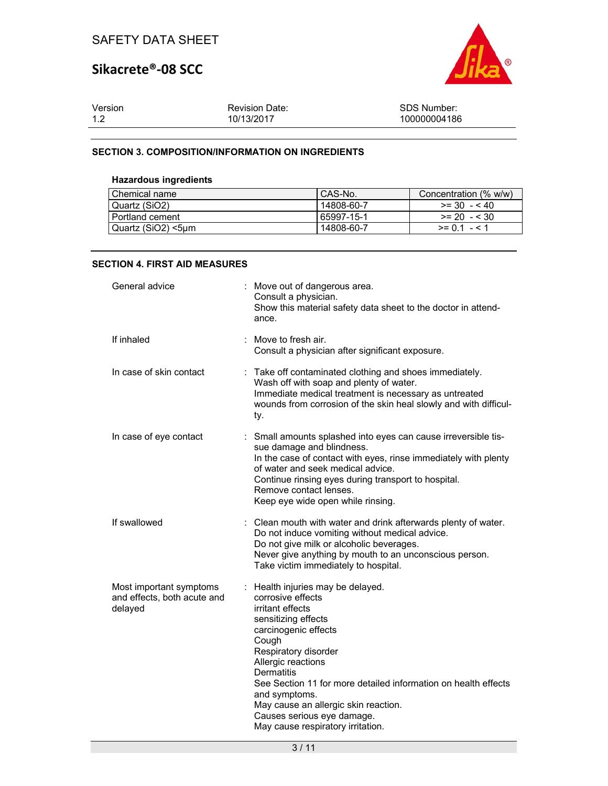# **Sikacrete®‐08 SCC**



| Version |  |
|---------|--|
| 12      |  |

Revision Date: 10/13/2017

SDS Number: 100000004186

#### **SECTION 3. COMPOSITION/INFORMATION ON INGREDIENTS**

#### **Hazardous ingredients**

| Chemical name      | CAS-No.    | Concentration (% w/w) |
|--------------------|------------|-----------------------|
| Quartz (SiO2)      | 14808-60-7 | $>= 30 - 40$          |
| Portland cement    | 65997-15-1 | $>= 20 - 530$         |
| Quartz (SiO2) <5um | 14808-60-7 | $>= 0.1 - 5.1$        |

#### **SECTION 4. FIRST AID MEASURES**

| General advice                                                    | : Move out of dangerous area.<br>Consult a physician.<br>Show this material safety data sheet to the doctor in attend-<br>ance.                                                                                                                                                                                                                                                                     |
|-------------------------------------------------------------------|-----------------------------------------------------------------------------------------------------------------------------------------------------------------------------------------------------------------------------------------------------------------------------------------------------------------------------------------------------------------------------------------------------|
| If inhaled                                                        | : Move to fresh air.<br>Consult a physician after significant exposure.                                                                                                                                                                                                                                                                                                                             |
| In case of skin contact                                           | : Take off contaminated clothing and shoes immediately.<br>Wash off with soap and plenty of water.<br>Immediate medical treatment is necessary as untreated<br>wounds from corrosion of the skin heal slowly and with difficul-<br>ty.                                                                                                                                                              |
| In case of eye contact                                            | : Small amounts splashed into eyes can cause irreversible tis-<br>sue damage and blindness.<br>In the case of contact with eyes, rinse immediately with plenty<br>of water and seek medical advice.<br>Continue rinsing eyes during transport to hospital.<br>Remove contact lenses.<br>Keep eye wide open while rinsing.                                                                           |
| If swallowed                                                      | : Clean mouth with water and drink afterwards plenty of water.<br>Do not induce vomiting without medical advice.<br>Do not give milk or alcoholic beverages.<br>Never give anything by mouth to an unconscious person.<br>Take victim immediately to hospital.                                                                                                                                      |
| Most important symptoms<br>and effects, both acute and<br>delayed | : Health injuries may be delayed.<br>corrosive effects<br>irritant effects<br>sensitizing effects<br>carcinogenic effects<br>Cough<br>Respiratory disorder<br>Allergic reactions<br><b>Dermatitis</b><br>See Section 11 for more detailed information on health effects<br>and symptoms.<br>May cause an allergic skin reaction.<br>Causes serious eye damage.<br>May cause respiratory irritation. |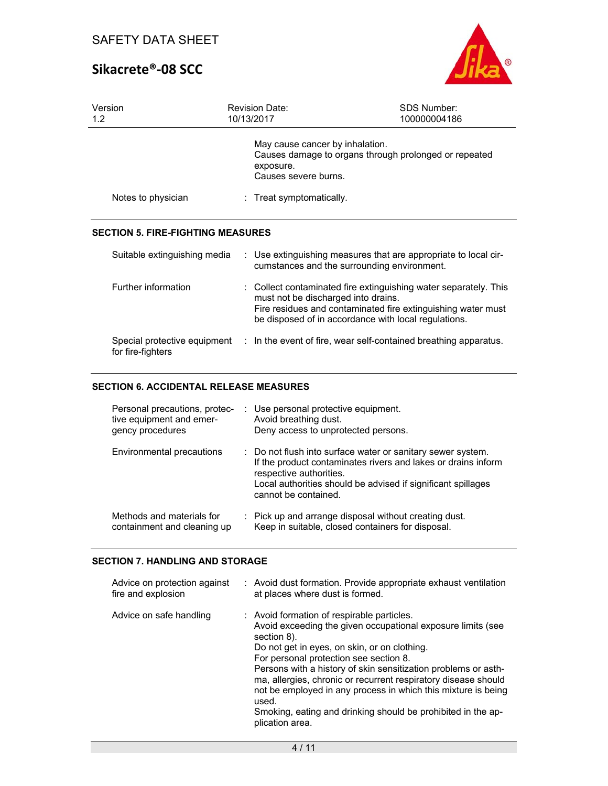

| Version<br>1.2                                    | <b>Revision Date:</b><br>10/13/2017                                  | <b>SDS Number:</b><br>100000004186                                                                                                                                                       |
|---------------------------------------------------|----------------------------------------------------------------------|------------------------------------------------------------------------------------------------------------------------------------------------------------------------------------------|
|                                                   | May cause cancer by inhalation.<br>exposure.<br>Causes severe burns. | Causes damage to organs through prolonged or repeated                                                                                                                                    |
| Notes to physician                                | : Treat symptomatically.                                             |                                                                                                                                                                                          |
| <b>SECTION 5. FIRE-FIGHTING MEASURES</b>          |                                                                      |                                                                                                                                                                                          |
| Suitable extinguishing media                      |                                                                      | : Use extinguishing measures that are appropriate to local cir-<br>cumstances and the surrounding environment.                                                                           |
| Further information                               | must not be discharged into drains.                                  | : Collect contaminated fire extinguishing water separately. This<br>Fire residues and contaminated fire extinguishing water must<br>be disposed of in accordance with local regulations. |
| Special protective equipment<br>for fire-fighters |                                                                      | : In the event of fire, wear self-contained breathing apparatus.                                                                                                                         |

#### **SECTION 6. ACCIDENTAL RELEASE MEASURES**

| Personal precautions, protec-<br>tive equipment and emer-<br>gency procedures | : Use personal protective equipment.<br>Avoid breathing dust.<br>Deny access to unprotected persons.                                                                                                                                            |
|-------------------------------------------------------------------------------|-------------------------------------------------------------------------------------------------------------------------------------------------------------------------------------------------------------------------------------------------|
| Environmental precautions                                                     | : Do not flush into surface water or sanitary sewer system.<br>If the product contaminates rivers and lakes or drains inform<br>respective authorities.<br>Local authorities should be advised if significant spillages<br>cannot be contained. |
| Methods and materials for<br>containment and cleaning up                      | : Pick up and arrange disposal without creating dust.<br>Keep in suitable, closed containers for disposal.                                                                                                                                      |

#### **SECTION 7. HANDLING AND STORAGE**

| Advice on protection against | : Avoid dust formation. Provide appropriate exhaust ventilation                                                                                                                                                                                                                                                                                                                                                                                                                                                     |
|------------------------------|---------------------------------------------------------------------------------------------------------------------------------------------------------------------------------------------------------------------------------------------------------------------------------------------------------------------------------------------------------------------------------------------------------------------------------------------------------------------------------------------------------------------|
| fire and explosion           | at places where dust is formed.                                                                                                                                                                                                                                                                                                                                                                                                                                                                                     |
| Advice on safe handling      | : Avoid formation of respirable particles.<br>Avoid exceeding the given occupational exposure limits (see<br>section 8).<br>Do not get in eyes, on skin, or on clothing.<br>For personal protection see section 8.<br>Persons with a history of skin sensitization problems or asth-<br>ma, allergies, chronic or recurrent respiratory disease should<br>not be employed in any process in which this mixture is being<br>used.<br>Smoking, eating and drinking should be prohibited in the ap-<br>plication area. |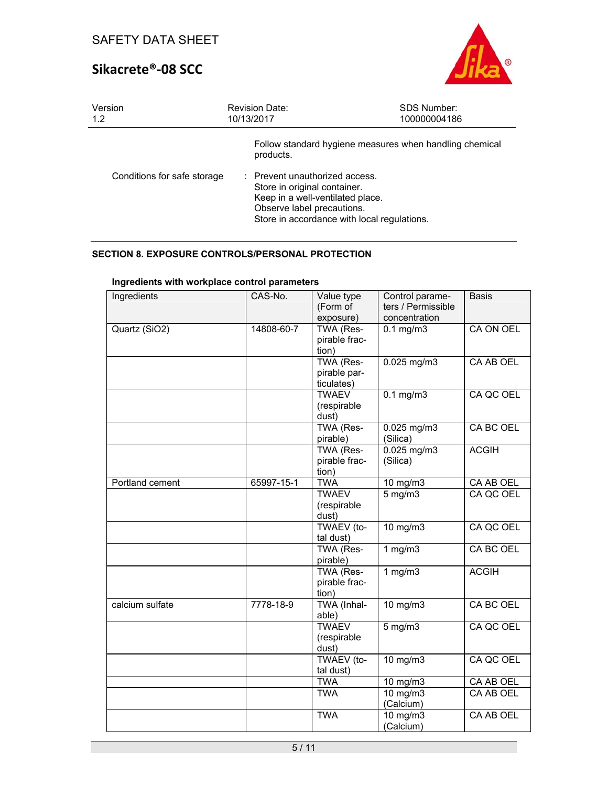

| Version                     | <b>Revision Date:</b>                                                                                                                                                                                                                                   | <b>SDS Number:</b> |
|-----------------------------|---------------------------------------------------------------------------------------------------------------------------------------------------------------------------------------------------------------------------------------------------------|--------------------|
| 1.2                         | 10/13/2017                                                                                                                                                                                                                                              | 100000004186       |
| Conditions for safe storage | Follow standard hygiene measures when handling chemical<br>products.<br>: Prevent unauthorized access.<br>Store in original container.<br>Keep in a well-ventilated place.<br>Observe label precautions.<br>Store in accordance with local regulations. |                    |

### **SECTION 8. EXPOSURE CONTROLS/PERSONAL PROTECTION**

| Ingredients     | CAS-No.    | Value type<br>(Form of<br>exposure)     | Control parame-<br>ters / Permissible<br>concentration | <b>Basis</b> |
|-----------------|------------|-----------------------------------------|--------------------------------------------------------|--------------|
| Quartz (SiO2)   | 14808-60-7 | TWA (Res-<br>pirable frac-<br>tion)     | $0.1$ mg/m $3$                                         | CA ON OEL    |
|                 |            | TWA (Res-<br>pirable par-<br>ticulates) | $\overline{0.025}$ mg/m3                               | CA AB OEL    |
|                 |            | <b>TWAEV</b><br>(respirable<br>dust)    | $0.1 \text{ mg/m}$                                     | CA QC OEL    |
|                 |            | TWA (Res-<br>pirable)                   | 0.025 mg/m3<br>(Silica)                                | CA BC OEL    |
|                 |            | TWA (Res-<br>pirable frac-<br>tion)     | $0.025$ mg/m3<br>(Silica)                              | <b>ACGIH</b> |
| Portland cement | 65997-15-1 | <b>TWA</b>                              | 10 mg/m3                                               | CA AB OEL    |
|                 |            | <b>TWAEV</b><br>(respirable<br>dust)    | $5$ mg/m $3$                                           | CA QC OEL    |
|                 |            | TWAEV (to-<br>tal dust)                 | $10$ mg/m $3$                                          | CA QC OEL    |
|                 |            | TWA (Res-<br>pirable)                   | $1$ mg/m $3$                                           | CA BC OEL    |
|                 |            | TWA (Res-<br>pirable frac-<br>tion)     | $1$ mg/m $3$                                           | <b>ACGIH</b> |
| calcium sulfate | 7778-18-9  | TWA (Inhal-<br>able)                    | $10$ mg/m $3$                                          | CA BC OEL    |
|                 |            | <b>TWAEV</b><br>(respirable<br>dust)    | $5$ mg/m $3$                                           | CA QC OEL    |
|                 |            | TWAEV (to-<br>tal dust)                 | 10 mg/m3                                               | CA QC OEL    |
|                 |            | <b>TWA</b>                              | 10 mg/m3                                               | CA AB OEL    |
|                 |            | <b>TWA</b>                              | 10 mg/m3<br>(Calcium)                                  | CA AB OEL    |
|                 |            | <b>TWA</b>                              | 10 mg/m3<br>(Calcium)                                  | CA AB OEL    |

#### **Ingredients with workplace control parameters**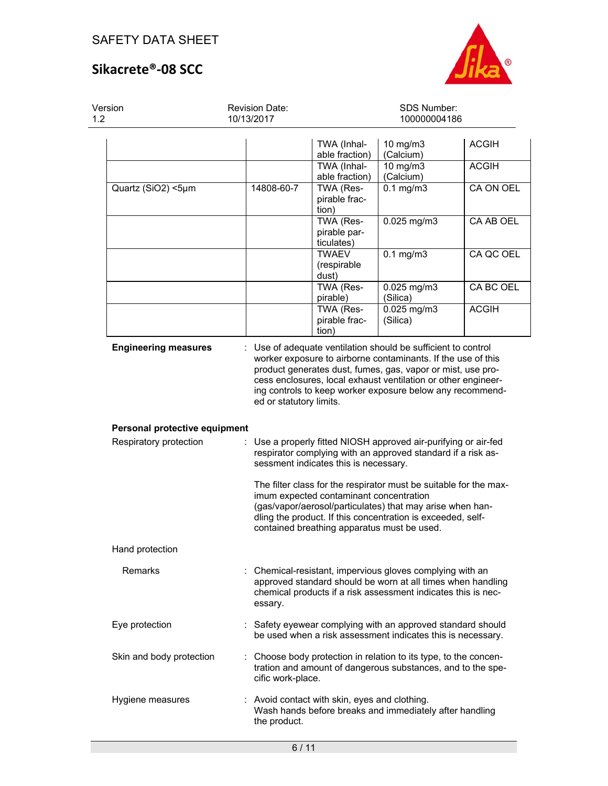

Version 1.2

Revision Date: 10/13/2017

#### SDS Number: 100000004186

|                               |                         | TWA (Inhal-<br>able fraction)                                                                                                                                                                                                                                                                                                                                                                                        | $10$ mg/m $3$<br>(Calcium)                                                                                                                                                                                                                                                                                                 | <b>ACGIH</b> |  |
|-------------------------------|-------------------------|----------------------------------------------------------------------------------------------------------------------------------------------------------------------------------------------------------------------------------------------------------------------------------------------------------------------------------------------------------------------------------------------------------------------|----------------------------------------------------------------------------------------------------------------------------------------------------------------------------------------------------------------------------------------------------------------------------------------------------------------------------|--------------|--|
|                               |                         | TWA (Inhal-<br>able fraction)                                                                                                                                                                                                                                                                                                                                                                                        | $10$ mg/m $3$<br>(Calcium)                                                                                                                                                                                                                                                                                                 | <b>ACGIH</b> |  |
| Quartz (SiO2) <5µm            | 14808-60-7              | TWA (Res-<br>pirable frac-<br>tion)                                                                                                                                                                                                                                                                                                                                                                                  | $0.1$ mg/m $3$                                                                                                                                                                                                                                                                                                             | CA ON OEL    |  |
|                               |                         | TWA (Res-<br>pirable par-<br>ticulates)                                                                                                                                                                                                                                                                                                                                                                              | $0.025$ mg/m $3$                                                                                                                                                                                                                                                                                                           | CA AB OEL    |  |
|                               |                         | <b>TWAEV</b><br>(respirable<br>dust)                                                                                                                                                                                                                                                                                                                                                                                 | $0.1$ mg/m $3$                                                                                                                                                                                                                                                                                                             | CA QC OEL    |  |
|                               |                         | TWA (Res-<br>pirable)                                                                                                                                                                                                                                                                                                                                                                                                | $0.025$ mg/m $3$<br>(Silica)                                                                                                                                                                                                                                                                                               | CA BC OEL    |  |
|                               |                         | TWA (Res-<br>pirable frac-<br>tion)                                                                                                                                                                                                                                                                                                                                                                                  | $0.025$ mg/m $3$<br>(Silica)                                                                                                                                                                                                                                                                                               | <b>ACGIH</b> |  |
| <b>Engineering measures</b>   | ed or statutory limits. |                                                                                                                                                                                                                                                                                                                                                                                                                      | : Use of adequate ventilation should be sufficient to control<br>worker exposure to airborne contaminants. If the use of this<br>product generates dust, fumes, gas, vapor or mist, use pro-<br>cess enclosures, local exhaust ventilation or other engineer-<br>ing controls to keep worker exposure below any recommend- |              |  |
| Personal protective equipment |                         |                                                                                                                                                                                                                                                                                                                                                                                                                      |                                                                                                                                                                                                                                                                                                                            |              |  |
| Respiratory protection        |                         | : Use a properly fitted NIOSH approved air-purifying or air-fed<br>respirator complying with an approved standard if a risk as-<br>sessment indicates this is necessary.<br>The filter class for the respirator must be suitable for the max-<br>imum expected contaminant concentration<br>(gas/vapor/aerosol/particulates) that may arise when han-<br>dling the product. If this concentration is exceeded, self- |                                                                                                                                                                                                                                                                                                                            |              |  |
|                               |                         | contained breathing apparatus must be used.                                                                                                                                                                                                                                                                                                                                                                          |                                                                                                                                                                                                                                                                                                                            |              |  |
| Hand protection               |                         |                                                                                                                                                                                                                                                                                                                                                                                                                      |                                                                                                                                                                                                                                                                                                                            |              |  |
| Remarks                       | essary.                 | : Chemical-resistant, impervious gloves complying with an<br>approved standard should be worn at all times when handling<br>chemical products if a risk assessment indicates this is nec-                                                                                                                                                                                                                            |                                                                                                                                                                                                                                                                                                                            |              |  |
| Eye protection                |                         | : Safety eyewear complying with an approved standard should<br>be used when a risk assessment indicates this is necessary.                                                                                                                                                                                                                                                                                           |                                                                                                                                                                                                                                                                                                                            |              |  |
| Skin and body protection      | cific work-place.       |                                                                                                                                                                                                                                                                                                                                                                                                                      | : Choose body protection in relation to its type, to the concen-<br>tration and amount of dangerous substances, and to the spe-                                                                                                                                                                                            |              |  |
| Hygiene measures              | the product.            | : Avoid contact with skin, eyes and clothing.                                                                                                                                                                                                                                                                                                                                                                        | Wash hands before breaks and immediately after handling                                                                                                                                                                                                                                                                    |              |  |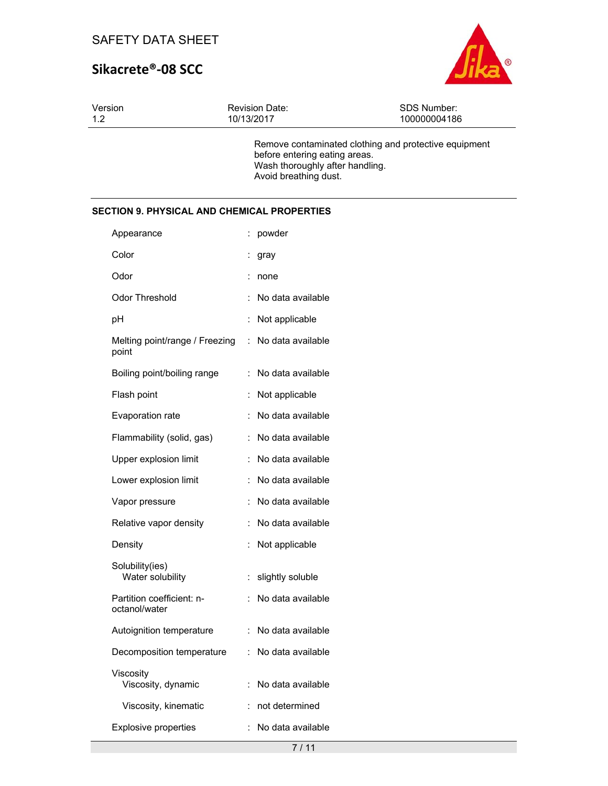

| Version | <b>Revision Date:</b>                                                                     | SDS Number:                                           |
|---------|-------------------------------------------------------------------------------------------|-------------------------------------------------------|
| 1.2     | 10/13/2017                                                                                | 100000004186                                          |
|         | before entering eating areas.<br>Wash thoroughly after handling.<br>Avoid breathing dust. | Remove contaminated clothing and protective equipment |

#### **SECTION 9. PHYSICAL AND CHEMICAL PROPERTIES**

| Appearance                                 |                      | powder            |
|--------------------------------------------|----------------------|-------------------|
| Color                                      |                      | gray              |
| Odor                                       |                      | none              |
| Odor Threshold                             |                      | No data available |
| рH                                         |                      | Not applicable    |
| Melting point/range / Freezing<br>point    | ÷                    | No data available |
| Boiling point/boiling range                | t                    | No data available |
| Flash point                                | $\ddot{\phantom{a}}$ | Not applicable    |
| Evaporation rate                           |                      | No data available |
| Flammability (solid, gas)                  | $\ddot{\phantom{a}}$ | No data available |
| Upper explosion limit                      |                      | No data available |
| Lower explosion limit                      | $\ddot{\phantom{a}}$ | No data available |
| Vapor pressure                             |                      | No data available |
| Relative vapor density                     |                      | No data available |
| Density                                    | İ                    | Not applicable    |
| Solubility(ies)<br>Water solubility        | İ.                   | slightly soluble  |
| Partition coefficient: n-<br>octanol/water |                      | No data available |
| Autoignition temperature                   | $\ddot{\phantom{a}}$ | No data available |
| Decomposition temperature                  |                      | No data available |
| Viscosity<br>Viscosity, dynamic            | $\ddot{\phantom{a}}$ | No data available |
| Viscosity, kinematic                       | $\ddot{\phantom{a}}$ | not determined    |
| <b>Explosive properties</b>                |                      | No data available |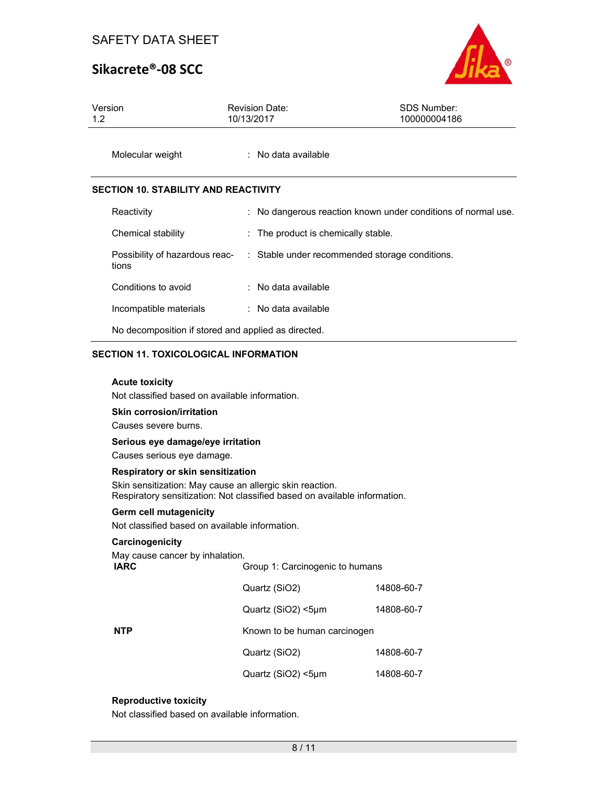## **Sikacrete®‐08 SCC**



| Version | <b>Revision Date:</b> | SDS Number:  |
|---------|-----------------------|--------------|
| 1.2     | 10/13/2017            | 100000004186 |
|         |                       |              |

Molecular weight : No data available

#### **SECTION 10. STABILITY AND REACTIVITY**

| Reactivity                                          |  | : No dangerous reaction known under conditions of normal use. |
|-----------------------------------------------------|--|---------------------------------------------------------------|
| Chemical stability                                  |  | $\therefore$ The product is chemically stable.                |
| Possibility of hazardous reac-<br>tions             |  | : Stable under recommended storage conditions.                |
| Conditions to avoid                                 |  | $\therefore$ No data available                                |
| Incompatible materials                              |  | $\therefore$ No data available                                |
| No decomposition if stored and applied as directed. |  |                                                               |

#### **SECTION 11. TOXICOLOGICAL INFORMATION**

#### **Acute toxicity**

Not classified based on available information.

#### **Skin corrosion/irritation**

Causes severe burns.

#### **Serious eye damage/eye irritation**

Causes serious eye damage.

#### **Respiratory or skin sensitization**

Skin sensitization: May cause an allergic skin reaction. Respiratory sensitization: Not classified based on available information.

#### **Germ cell mutagenicity**

Not classified based on available information.

#### **Carcinogenicity**

May cause cancer by inhalation.

| IARC | Group 1: Carcinogenic to humans |
|------|---------------------------------|
|      |                                 |

|     | Quartz (SiO2)                | 14808-60-7 |
|-----|------------------------------|------------|
|     | Quartz (SiO2) <5µm           | 14808-60-7 |
| NTP | Known to be human carcinogen |            |
|     | Quartz (SiO2)                | 14808-60-7 |
|     | Quartz (SiO2) <5µm           | 14808-60-7 |

#### **Reproductive toxicity**

Not classified based on available information.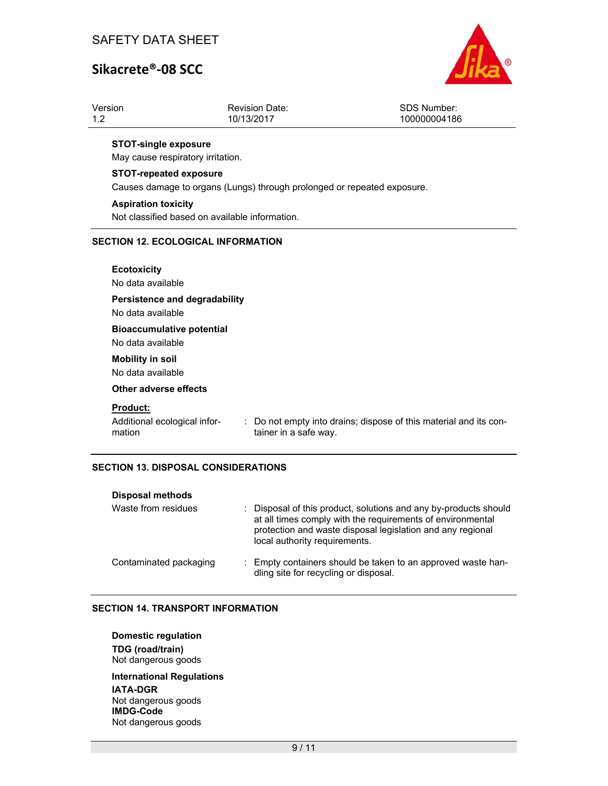## **Sikacrete®‐08 SCC**



| Version | <b>Revision Date:</b> | SDS Number:  |
|---------|-----------------------|--------------|
| -12     | 10/13/2017            | 100000004186 |
|         |                       |              |

#### **STOT-single exposure**

May cause respiratory irritation.

#### **STOT-repeated exposure**

Causes damage to organs (Lungs) through prolonged or repeated exposure.

#### **Aspiration toxicity**

Not classified based on available information.

#### **SECTION 12. ECOLOGICAL INFORMATION**

| <b>Ecotoxicity</b><br>No data available                   |                                                                                            |
|-----------------------------------------------------------|--------------------------------------------------------------------------------------------|
| Persistence and degradability<br>No data available        |                                                                                            |
| <b>Bioaccumulative potential</b><br>No data available     |                                                                                            |
| <b>Mobility in soil</b><br>No data available              |                                                                                            |
| Other adverse effects                                     |                                                                                            |
| <b>Product:</b><br>Additional ecological infor-<br>mation | : Do not empty into drains; dispose of this material and its con-<br>tainer in a safe way. |
|                                                           |                                                                                            |

#### **SECTION 13. DISPOSAL CONSIDERATIONS**

| <b>Disposal methods</b> |                                                                                                                                                                                                                               |
|-------------------------|-------------------------------------------------------------------------------------------------------------------------------------------------------------------------------------------------------------------------------|
| Waste from residues     | : Disposal of this product, solutions and any by-products should<br>at all times comply with the requirements of environmental<br>protection and waste disposal legislation and any regional<br>local authority requirements. |
| Contaminated packaging  | : Empty containers should be taken to an approved waste han-<br>dling site for recycling or disposal.                                                                                                                         |

#### **SECTION 14. TRANSPORT INFORMATION**

**Domestic regulation TDG (road/train)**  Not dangerous goods

**International Regulations IATA-DGR**  Not dangerous goods **IMDG-Code**  Not dangerous goods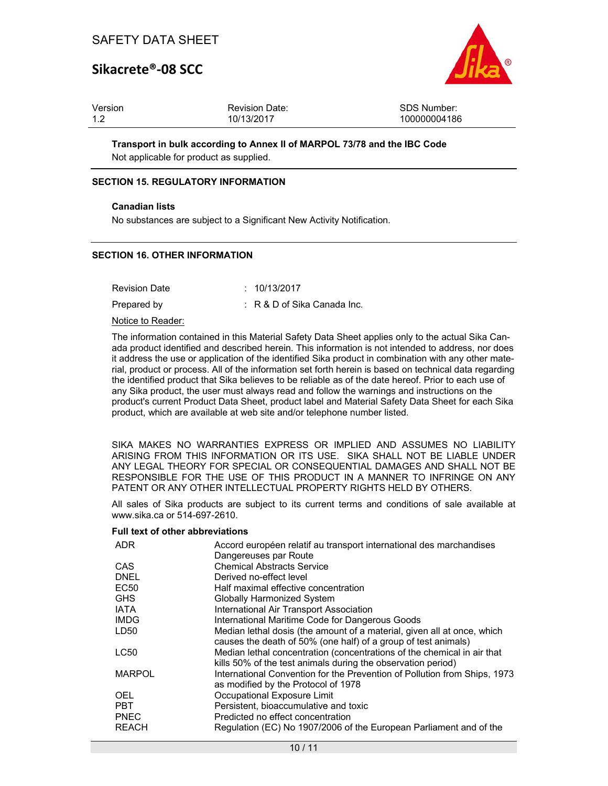

| Version |  |
|---------|--|
| 1.2     |  |

Revision Date: 10/13/2017

SDS Number: 100000004186

**Transport in bulk according to Annex II of MARPOL 73/78 and the IBC Code** 

Not applicable for product as supplied.

#### **SECTION 15. REGULATORY INFORMATION**

#### **Canadian lists**

No substances are subject to a Significant New Activity Notification.

#### **SECTION 16. OTHER INFORMATION**

Revision Date : 10/13/2017

Prepared by : R & D of Sika Canada Inc.

Notice to Reader:

The information contained in this Material Safety Data Sheet applies only to the actual Sika Canada product identified and described herein. This information is not intended to address, nor does it address the use or application of the identified Sika product in combination with any other material, product or process. All of the information set forth herein is based on technical data regarding the identified product that Sika believes to be reliable as of the date hereof. Prior to each use of any Sika product, the user must always read and follow the warnings and instructions on the product's current Product Data Sheet, product label and Material Safety Data Sheet for each Sika product, which are available at web site and/or telephone number listed.

SIKA MAKES NO WARRANTIES EXPRESS OR IMPLIED AND ASSUMES NO LIABILITY ARISING FROM THIS INFORMATION OR ITS USE. SIKA SHALL NOT BE LIABLE UNDER ANY LEGAL THEORY FOR SPECIAL OR CONSEQUENTIAL DAMAGES AND SHALL NOT BE RESPONSIBLE FOR THE USE OF THIS PRODUCT IN A MANNER TO INFRINGE ON ANY PATENT OR ANY OTHER INTELLECTUAL PROPERTY RIGHTS HELD BY OTHERS.

All sales of Sika products are subject to its current terms and conditions of sale available at www.sika.ca or 514-697-2610.

#### **Full text of other abbreviations**

| <b>ADR</b>       | Accord européen relatif au transport international des marchandises       |
|------------------|---------------------------------------------------------------------------|
|                  | Dangereuses par Route                                                     |
| CAS              | <b>Chemical Abstracts Service</b>                                         |
| <b>DNEL</b>      | Derived no-effect level                                                   |
| EC <sub>50</sub> | Half maximal effective concentration                                      |
| <b>GHS</b>       | <b>Globally Harmonized System</b>                                         |
| <b>IATA</b>      | International Air Transport Association                                   |
| <b>IMDG</b>      | International Maritime Code for Dangerous Goods                           |
| LD <sub>50</sub> | Median lethal dosis (the amount of a material, given all at once, which   |
|                  | causes the death of 50% (one half) of a group of test animals)            |
| <b>LC50</b>      | Median lethal concentration (concentrations of the chemical in air that   |
|                  | kills 50% of the test animals during the observation period)              |
| <b>MARPOL</b>    | International Convention for the Prevention of Pollution from Ships, 1973 |
|                  | as modified by the Protocol of 1978                                       |
| <b>OEL</b>       | Occupational Exposure Limit                                               |
| <b>PBT</b>       | Persistent, bioaccumulative and toxic                                     |
| <b>PNEC</b>      | Predicted no effect concentration                                         |
| <b>REACH</b>     | Regulation (EC) No 1907/2006 of the European Parliament and of the        |